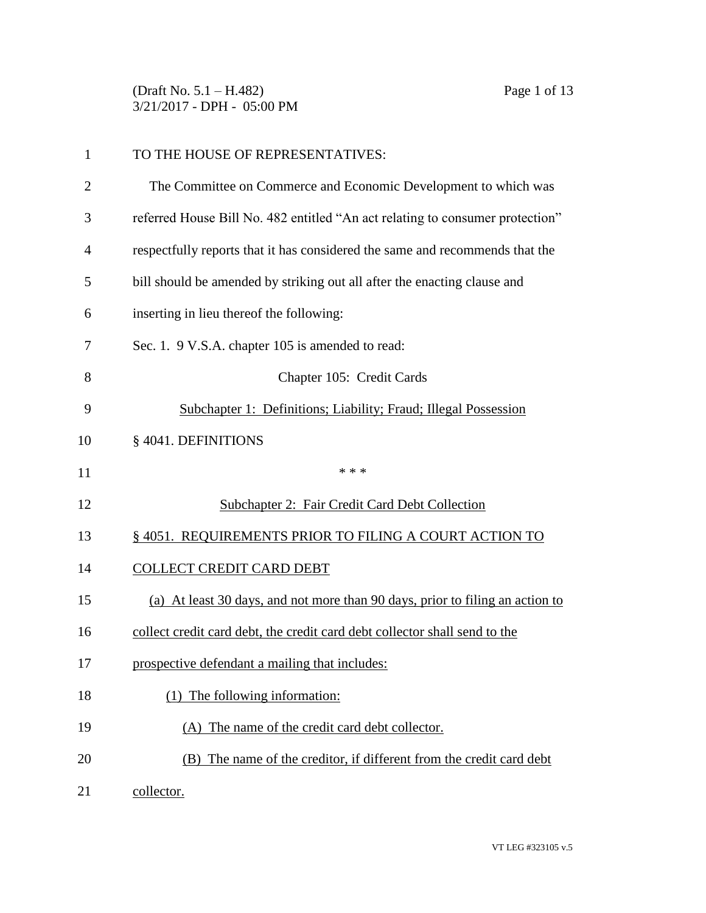(Draft No. 5.1 – H.482) Page 1 of 13 3/21/2017 - DPH - 05:00 PM

| $\mathbf{1}$   | TO THE HOUSE OF REPRESENTATIVES:                                              |
|----------------|-------------------------------------------------------------------------------|
| $\overline{2}$ | The Committee on Commerce and Economic Development to which was               |
| 3              | referred House Bill No. 482 entitled "An act relating to consumer protection" |
| 4              | respectfully reports that it has considered the same and recommends that the  |
| 5              | bill should be amended by striking out all after the enacting clause and      |
| 6              | inserting in lieu thereof the following:                                      |
| 7              | Sec. 1. 9 V.S.A. chapter 105 is amended to read:                              |
| 8              | Chapter 105: Credit Cards                                                     |
| 9              | Subchapter 1: Definitions; Liability; Fraud; Illegal Possession               |
| 10             | § 4041. DEFINITIONS                                                           |
| 11             | * * *                                                                         |
| 12             | <b>Subchapter 2: Fair Credit Card Debt Collection</b>                         |
| 13             | § 4051. REQUIREMENTS PRIOR TO FILING A COURT ACTION TO                        |
| 14             | <b>COLLECT CREDIT CARD DEBT</b>                                               |
| 15             | (a) At least 30 days, and not more than 90 days, prior to filing an action to |
| 16             | collect credit card debt, the credit card debt collector shall send to the    |
| 17             | prospective defendant a mailing that includes:                                |
| 18             | The following information:                                                    |
| 19             | (A) The name of the credit card debt collector.                               |
| 20             | (B) The name of the creditor, if different from the credit card debt          |
| 21             | collector.                                                                    |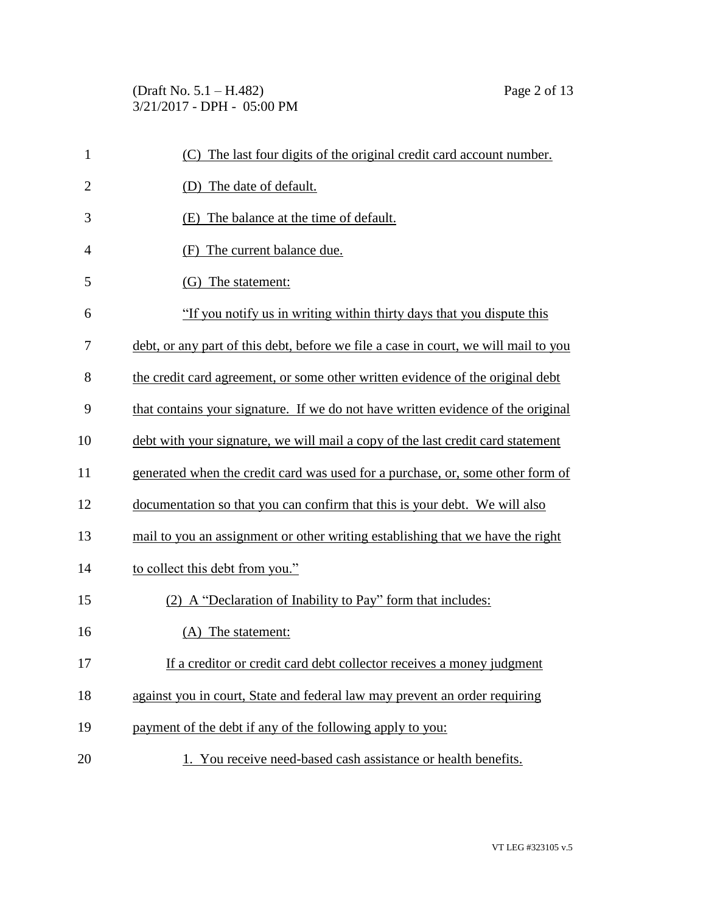(Draft No. 5.1 – H.482) Page 2 of 13 3/21/2017 - DPH - 05:00 PM

| $\mathbf{1}$   | The last four digits of the original credit card account number.<br>(C)             |
|----------------|-------------------------------------------------------------------------------------|
| $\overline{2}$ | (D) The date of default.                                                            |
| 3              | (E) The balance at the time of default.                                             |
| 4              | The current balance due.<br>(F)                                                     |
| 5              | (G) The statement:                                                                  |
| 6              | "If you notify us in writing within thirty days that you dispute this               |
| 7              | debt, or any part of this debt, before we file a case in court, we will mail to you |
| 8              | the credit card agreement, or some other written evidence of the original debt      |
| 9              | that contains your signature. If we do not have written evidence of the original    |
| 10             | debt with your signature, we will mail a copy of the last credit card statement     |
| 11             | generated when the credit card was used for a purchase, or, some other form of      |
| 12             | documentation so that you can confirm that this is your debt. We will also          |
| 13             | mail to you an assignment or other writing establishing that we have the right      |
| 14             | to collect this debt from you."                                                     |
| 15             | (2) A "Declaration of Inability to Pay" form that includes:                         |
| 16             | (A) The statement:                                                                  |
| 17             | If a creditor or credit card debt collector receives a money judgment               |
| 18             | against you in court, State and federal law may prevent an order requiring          |
| 19             | payment of the debt if any of the following apply to you:                           |
| 20             | 1. You receive need-based cash assistance or health benefits.                       |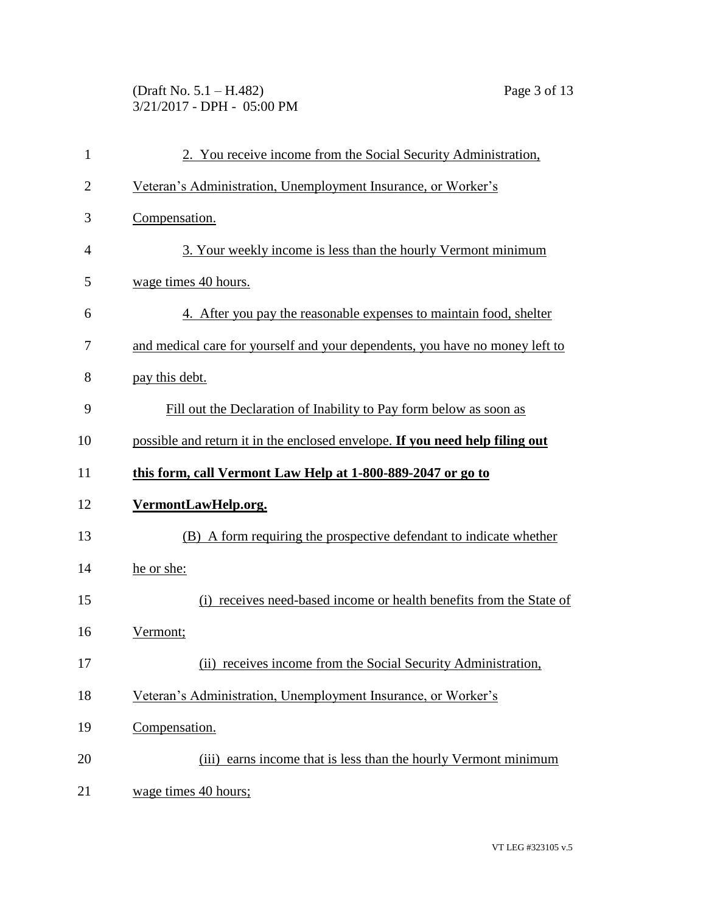(Draft No. 5.1 – H.482) Page 3 of 13 3/21/2017 - DPH - 05:00 PM

| 1  | 2. You receive income from the Social Security Administration,               |
|----|------------------------------------------------------------------------------|
| 2  | Veteran's Administration, Unemployment Insurance, or Worker's                |
| 3  | Compensation.                                                                |
| 4  | 3. Your weekly income is less than the hourly Vermont minimum                |
| 5  | wage times 40 hours.                                                         |
| 6  | 4. After you pay the reasonable expenses to maintain food, shelter           |
| 7  | and medical care for yourself and your dependents, you have no money left to |
| 8  | pay this debt.                                                               |
| 9  | Fill out the Declaration of Inability to Pay form below as soon as           |
| 10 | possible and return it in the enclosed envelope. If you need help filing out |
| 11 | this form, call Vermont Law Help at 1-800-889-2047 or go to                  |
| 12 | VermontLawHelp.org.                                                          |
| 13 | (B) A form requiring the prospective defendant to indicate whether           |
| 14 | he or she:                                                                   |
| 15 | (i) receives need-based income or health benefits from the State of          |
| 16 | Vermont;                                                                     |
| 17 | (ii) receives income from the Social Security Administration,                |
| 18 | Veteran's Administration, Unemployment Insurance, or Worker's                |
| 19 | Compensation.                                                                |
| 20 | (iii) earns income that is less than the hourly Vermont minimum              |
| 21 | wage times 40 hours;                                                         |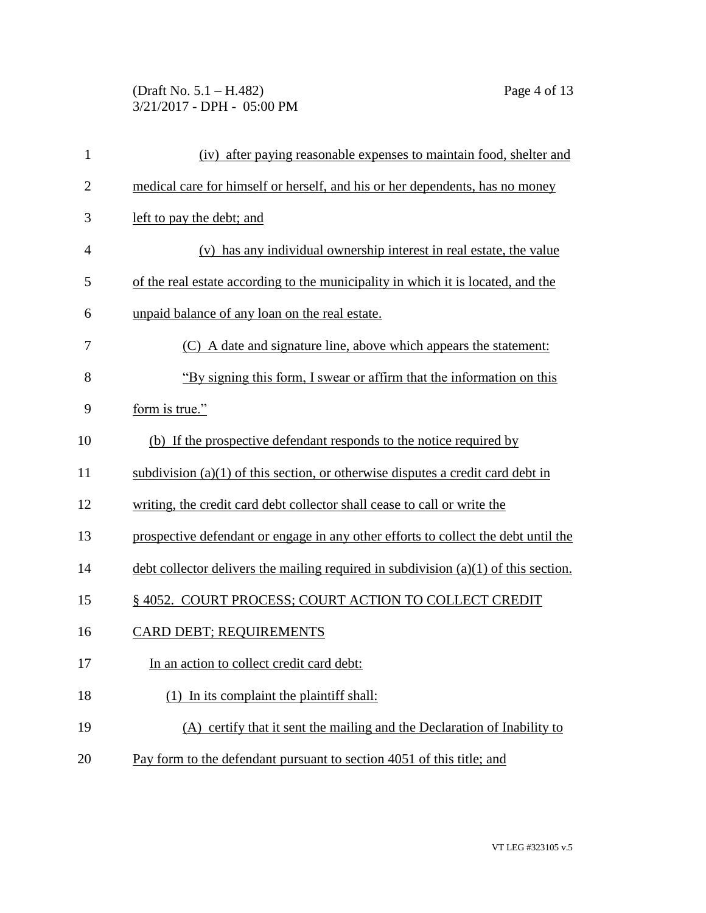## (Draft No. 5.1 – H.482) Page 4 of 13 3/21/2017 - DPH - 05:00 PM

| $\mathbf{1}$   | (iv) after paying reasonable expenses to maintain food, shelter and                   |
|----------------|---------------------------------------------------------------------------------------|
| $\overline{2}$ | medical care for himself or herself, and his or her dependents, has no money          |
| 3              | left to pay the debt; and                                                             |
| 4              | (v) has any individual ownership interest in real estate, the value                   |
| 5              | of the real estate according to the municipality in which it is located, and the      |
| 6              | unpaid balance of any loan on the real estate.                                        |
| 7              | (C) A date and signature line, above which appears the statement:                     |
| 8              | "By signing this form, I swear or affirm that the information on this                 |
| 9              | form is true."                                                                        |
| 10             | (b) If the prospective defendant responds to the notice required by                   |
| 11             | subdivision $(a)(1)$ of this section, or otherwise disputes a credit card debt in     |
| 12             | writing, the credit card debt collector shall cease to call or write the              |
| 13             | prospective defendant or engage in any other efforts to collect the debt until the    |
| 14             | debt collector delivers the mailing required in subdivision $(a)(1)$ of this section. |
| 15             | §4052. COURT PROCESS; COURT ACTION TO COLLECT CREDIT                                  |
| 16             | <b>CARD DEBT: REQUIREMENTS</b>                                                        |
| 17             | In an action to collect credit card debt:                                             |
| 18             | $(1)$ In its complaint the plaintiff shall:                                           |
| 19             | (A) certify that it sent the mailing and the Declaration of Inability to              |
| 20             | Pay form to the defendant pursuant to section 4051 of this title; and                 |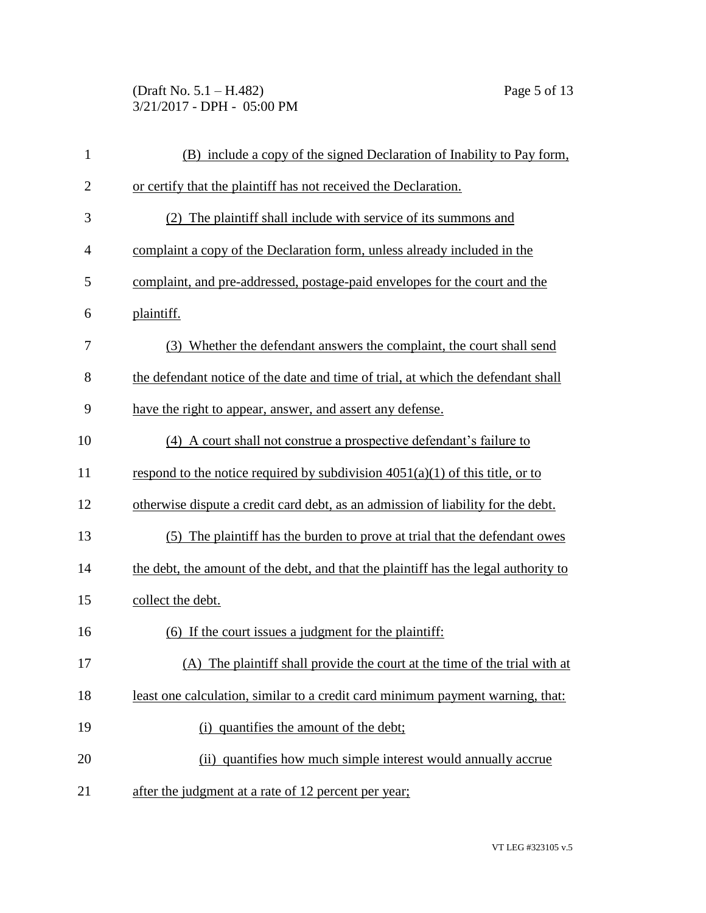(Draft No. 5.1 – H.482) Page 5 of 13 3/21/2017 - DPH - 05:00 PM

| $\mathbf{1}$   | (B) include a copy of the signed Declaration of Inability to Pay form,              |
|----------------|-------------------------------------------------------------------------------------|
| $\overline{2}$ | or certify that the plaintiff has not received the Declaration.                     |
| 3              | The plaintiff shall include with service of its summons and<br>(2)                  |
| $\overline{4}$ | complaint a copy of the Declaration form, unless already included in the            |
| 5              | complaint, and pre-addressed, postage-paid envelopes for the court and the          |
| 6              | plaintiff.                                                                          |
| 7              | (3) Whether the defendant answers the complaint, the court shall send               |
| 8              | the defendant notice of the date and time of trial, at which the defendant shall    |
| 9              | have the right to appear, answer, and assert any defense.                           |
| 10             | (4) A court shall not construe a prospective defendant's failure to                 |
| 11             | respond to the notice required by subdivision $4051(a)(1)$ of this title, or to     |
| 12             | otherwise dispute a credit card debt, as an admission of liability for the debt.    |
| 13             | The plaintiff has the burden to prove at trial that the defendant owes<br>(5)       |
| 14             | the debt, the amount of the debt, and that the plaintiff has the legal authority to |
| 15             | collect the debt.                                                                   |
| 16             | (6) If the court issues a judgment for the plaintiff:                               |
| 17             | (A) The plaintiff shall provide the court at the time of the trial with at          |
| 18             | least one calculation, similar to a credit card minimum payment warning, that:      |
| 19             | (i) quantifies the amount of the debt;                                              |
| 20             | (ii) quantifies how much simple interest would annually accrue                      |
| 21             | after the judgment at a rate of 12 percent per year;                                |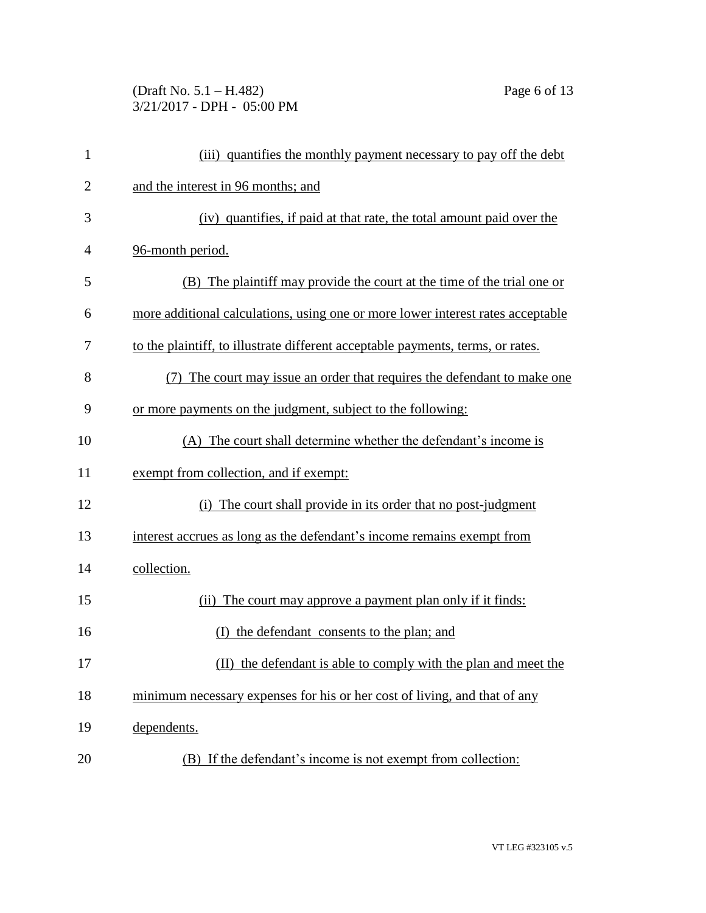## (Draft No. 5.1 – H.482) Page 6 of 13 3/21/2017 - DPH - 05:00 PM

| $\mathbf{1}$   | (iii) quantifies the monthly payment necessary to pay off the debt              |
|----------------|---------------------------------------------------------------------------------|
| $\overline{2}$ | and the interest in 96 months; and                                              |
| 3              | (iv) quantifies, if paid at that rate, the total amount paid over the           |
| 4              | 96-month period.                                                                |
| 5              | (B) The plaintiff may provide the court at the time of the trial one or         |
| 6              | more additional calculations, using one or more lower interest rates acceptable |
| 7              | to the plaintiff, to illustrate different acceptable payments, terms, or rates. |
| 8              | The court may issue an order that requires the defendant to make one            |
| 9              | or more payments on the judgment, subject to the following:                     |
| 10             | (A) The court shall determine whether the defendant's income is                 |
| 11             | exempt from collection, and if exempt:                                          |
| 12             | The court shall provide in its order that no post-judgment<br>(i)               |
| 13             | interest accrues as long as the defendant's income remains exempt from          |
| 14             | collection.                                                                     |
| 15             | (ii) The court may approve a payment plan only if it finds:                     |
| 16             | (I) the defendant consents to the plan; and                                     |
| 17             | the defendant is able to comply with the plan and meet the                      |
| 18             | minimum necessary expenses for his or her cost of living, and that of any       |
| 19             | dependents.                                                                     |
| 20             | (B) If the defendant's income is not exempt from collection:                    |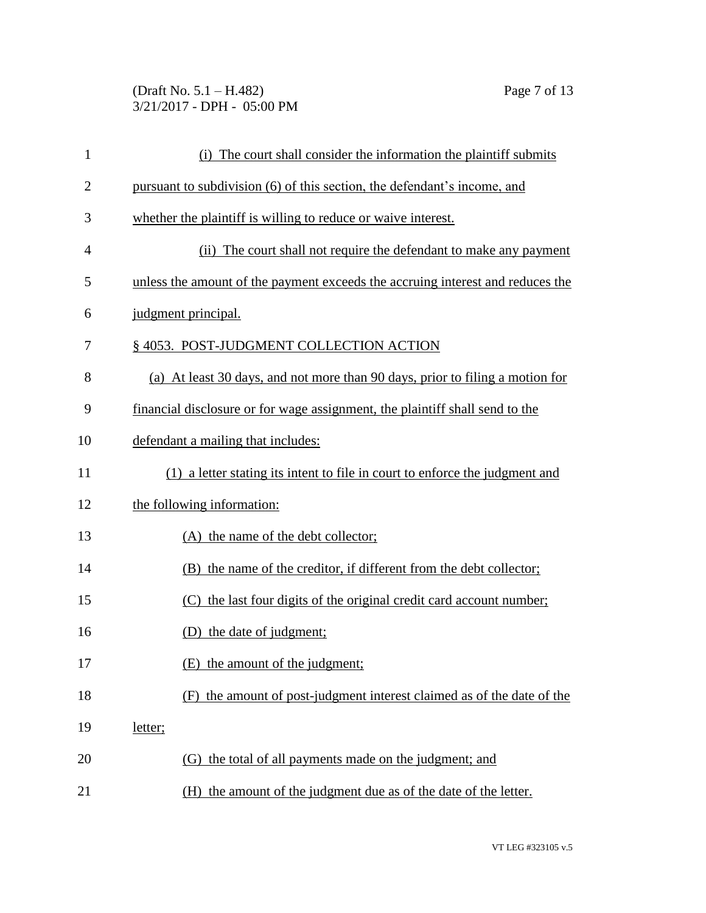(Draft No. 5.1 – H.482) Page 7 of 13 3/21/2017 - DPH - 05:00 PM

| $\mathbf{1}$   | (i) The court shall consider the information the plaintiff submits             |
|----------------|--------------------------------------------------------------------------------|
| $\overline{2}$ | pursuant to subdivision (6) of this section, the defendant's income, and       |
| 3              | whether the plaintiff is willing to reduce or waive interest.                  |
| $\overline{4}$ | (ii) The court shall not require the defendant to make any payment             |
| 5              | unless the amount of the payment exceeds the accruing interest and reduces the |
| 6              | judgment principal.                                                            |
| 7              | §4053. POST-JUDGMENT COLLECTION ACTION                                         |
| 8              | (a) At least 30 days, and not more than 90 days, prior to filing a motion for  |
| 9              | financial disclosure or for wage assignment, the plaintiff shall send to the   |
| 10             | defendant a mailing that includes:                                             |
| 11             | (1) a letter stating its intent to file in court to enforce the judgment and   |
| 12             | the following information:                                                     |
| 13             | (A) the name of the debt collector;                                            |
| 14             | the name of the creditor, if different from the debt collector;<br>(B)         |
| 15             | (C) the last four digits of the original credit card account number;           |
| 16             | (D) the date of judgment;                                                      |
| 17             | (E) the amount of the judgment;                                                |
| 18             | the amount of post-judgment interest claimed as of the date of the<br>(F)      |
| 19             | letter;                                                                        |
| 20             | (G) the total of all payments made on the judgment; and                        |
| 21             | the amount of the judgment due as of the date of the letter.<br>(H)            |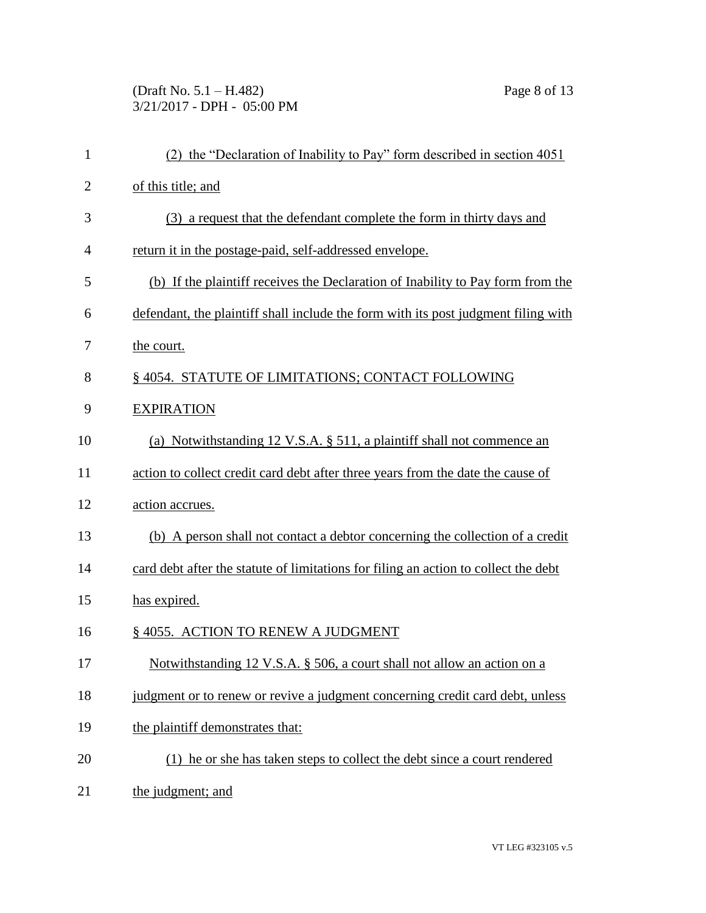(Draft No. 5.1 – H.482) Page 8 of 13 3/21/2017 - DPH - 05:00 PM

| $\mathbf{1}$   | (2) the "Declaration of Inability to Pay" form described in section 4051            |
|----------------|-------------------------------------------------------------------------------------|
| $\overline{2}$ | of this title; and                                                                  |
| 3              | (3) a request that the defendant complete the form in thirty days and               |
| 4              | return it in the postage-paid, self-addressed envelope.                             |
| 5              | (b) If the plaintiff receives the Declaration of Inability to Pay form from the     |
| 6              | defendant, the plaintiff shall include the form with its post judgment filing with  |
| 7              | the court.                                                                          |
| 8              | §4054. STATUTE OF LIMITATIONS; CONTACT FOLLOWING                                    |
| 9              | <b>EXPIRATION</b>                                                                   |
| 10             | (a) Notwithstanding 12 V.S.A. $\S$ 511, a plaintiff shall not commence an           |
| 11             | action to collect credit card debt after three years from the date the cause of     |
| 12             | action accrues.                                                                     |
| 13             | (b) A person shall not contact a debtor concerning the collection of a credit       |
| 14             | card debt after the statute of limitations for filing an action to collect the debt |
| 15             | has expired.                                                                        |
| 16             | §4055. ACTION TO RENEW A JUDGMENT                                                   |
| 17             | Notwithstanding 12 V.S.A. § 506, a court shall not allow an action on a             |
| 18             | judgment or to renew or revive a judgment concerning credit card debt, unless       |
| 19             | the plaintiff demonstrates that:                                                    |
| 20             | (1) he or she has taken steps to collect the debt since a court rendered            |
| 21             | the judgment; and                                                                   |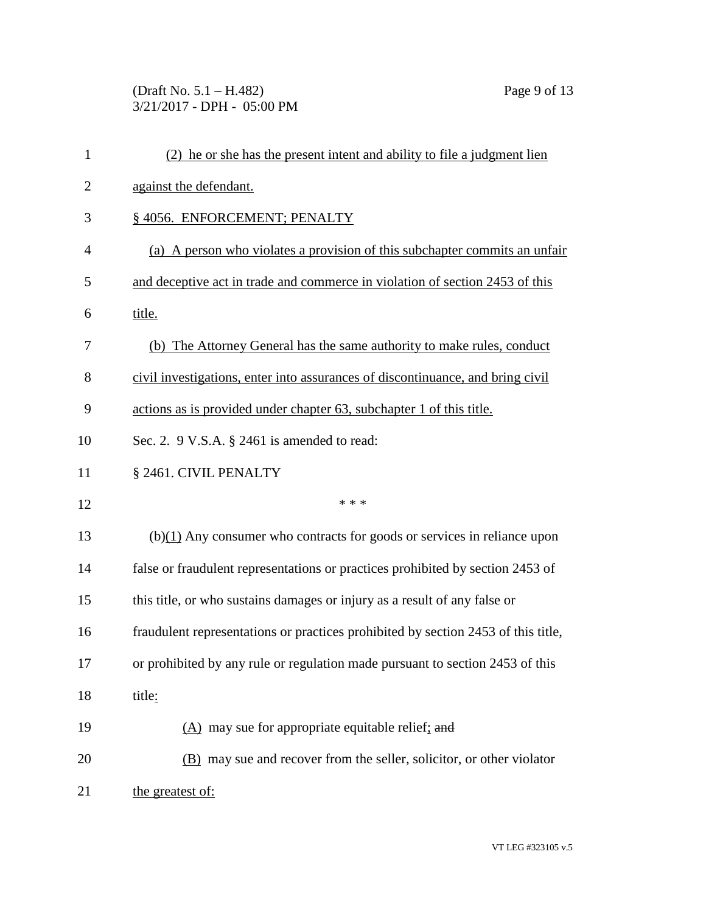(Draft No. 5.1 – H.482) Page 9 of 13 3/21/2017 - DPH - 05:00 PM

| $\mathbf{1}$   | (2) he or she has the present intent and ability to file a judgment lien          |
|----------------|-----------------------------------------------------------------------------------|
| $\overline{2}$ | against the defendant.                                                            |
| 3              | §4056. ENFORCEMENT; PENALTY                                                       |
| $\overline{4}$ | (a) A person who violates a provision of this subchapter commits an unfair        |
| 5              | and deceptive act in trade and commerce in violation of section 2453 of this      |
| 6              | title.                                                                            |
| 7              | (b) The Attorney General has the same authority to make rules, conduct            |
| 8              | civil investigations, enter into assurances of discontinuance, and bring civil    |
| 9              | actions as is provided under chapter 63, subchapter 1 of this title.              |
| 10             | Sec. 2. $9$ V.S.A. $\S$ 2461 is amended to read:                                  |
| 11             | § 2461. CIVIL PENALTY                                                             |
| 12             | * * *                                                                             |
| 13             | $(b)(1)$ Any consumer who contracts for goods or services in reliance upon        |
| 14             | false or fraudulent representations or practices prohibited by section 2453 of    |
| 15             | this title, or who sustains damages or injury as a result of any false or         |
| 16             | fraudulent representations or practices prohibited by section 2453 of this title, |
| 17             | or prohibited by any rule or regulation made pursuant to section 2453 of this     |
| 18             | title:                                                                            |
| 19             | $(A)$ may sue for appropriate equitable relief; and                               |
| 20             | (B) may sue and recover from the seller, solicitor, or other violator             |
| 21             | the greatest of:                                                                  |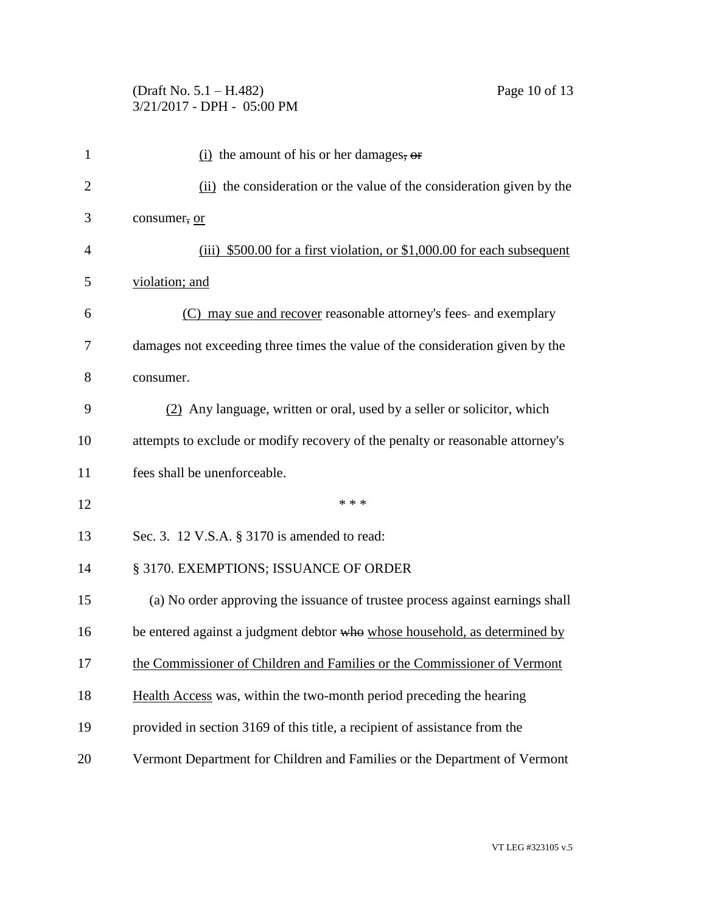## (Draft No. 5.1 – H.482) Page 10 of 13 3/21/2017 - DPH - 05:00 PM

| $\mathbf{1}$   | $(i)$ the amount of his or her damages, or                                     |
|----------------|--------------------------------------------------------------------------------|
| $\overline{2}$ | (ii) the consideration or the value of the consideration given by the          |
| 3              | consumer, or                                                                   |
| 4              | (iii) \$500.00 for a first violation, or \$1,000.00 for each subsequent        |
| 5              | violation; and                                                                 |
| 6              | (C) may sue and recover reasonable attorney's fees- and exemplary              |
| 7              | damages not exceeding three times the value of the consideration given by the  |
| 8              | consumer.                                                                      |
| 9              | (2) Any language, written or oral, used by a seller or solicitor, which        |
| 10             | attempts to exclude or modify recovery of the penalty or reasonable attorney's |
| 11             | fees shall be unenforceable.                                                   |
| 12             | * * *                                                                          |
| 13             | Sec. 3. 12 V.S.A. § 3170 is amended to read:                                   |
| 14             | § 3170. EXEMPTIONS; ISSUANCE OF ORDER                                          |
| 15             | (a) No order approving the issuance of trustee process against earnings shall  |
| 16             | be entered against a judgment debtor who whose household, as determined by     |
| 17             | the Commissioner of Children and Families or the Commissioner of Vermont       |
| 18             | Health Access was, within the two-month period preceding the hearing           |
| 19             | provided in section 3169 of this title, a recipient of assistance from the     |
| 20             | Vermont Department for Children and Families or the Department of Vermont      |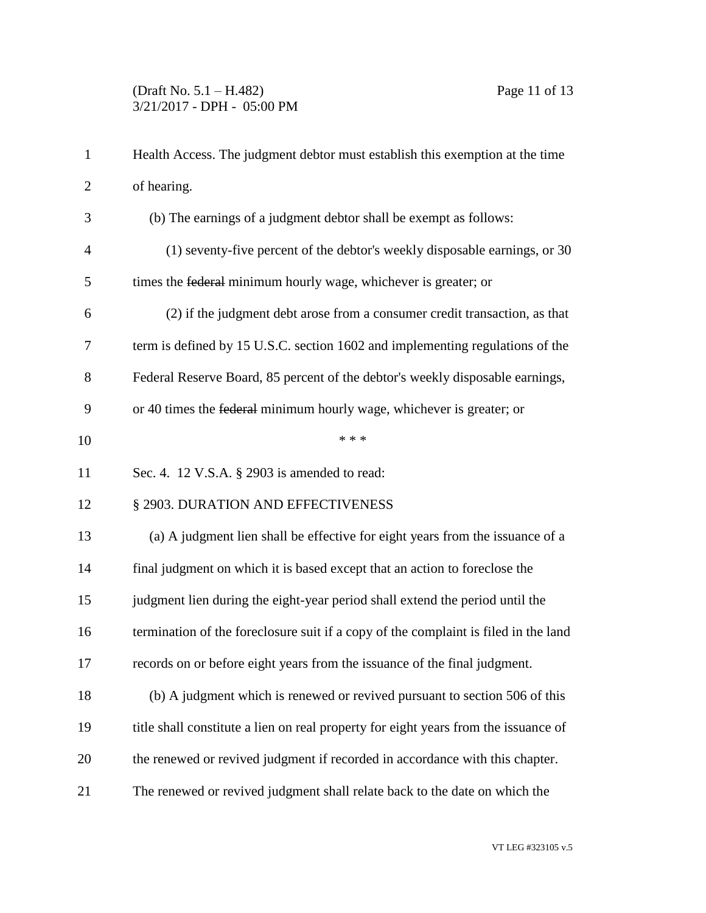| $\mathbf{1}$   | Health Access. The judgment debtor must establish this exemption at the time        |
|----------------|-------------------------------------------------------------------------------------|
| $\overline{2}$ | of hearing.                                                                         |
| 3              | (b) The earnings of a judgment debtor shall be exempt as follows:                   |
| $\overline{4}$ | (1) seventy-five percent of the debtor's weekly disposable earnings, or 30          |
| 5              | times the federal minimum hourly wage, whichever is greater; or                     |
| 6              | (2) if the judgment debt arose from a consumer credit transaction, as that          |
| 7              | term is defined by 15 U.S.C. section 1602 and implementing regulations of the       |
| 8              | Federal Reserve Board, 85 percent of the debtor's weekly disposable earnings,       |
| 9              | or 40 times the federal minimum hourly wage, whichever is greater; or               |
| 10             | * * *                                                                               |
| 11             | Sec. 4. 12 V.S.A. $\S$ 2903 is amended to read:                                     |
| 12             | § 2903. DURATION AND EFFECTIVENESS                                                  |
| 13             | (a) A judgment lien shall be effective for eight years from the issuance of a       |
| 14             | final judgment on which it is based except that an action to foreclose the          |
| 15             | judgment lien during the eight-year period shall extend the period until the        |
| 16             | termination of the foreclosure suit if a copy of the complaint is filed in the land |
| 17             | records on or before eight years from the issuance of the final judgment.           |
| 18             | (b) A judgment which is renewed or revived pursuant to section 506 of this          |
| 19             | title shall constitute a lien on real property for eight years from the issuance of |
| 20             | the renewed or revived judgment if recorded in accordance with this chapter.        |
| 21             | The renewed or revived judgment shall relate back to the date on which the          |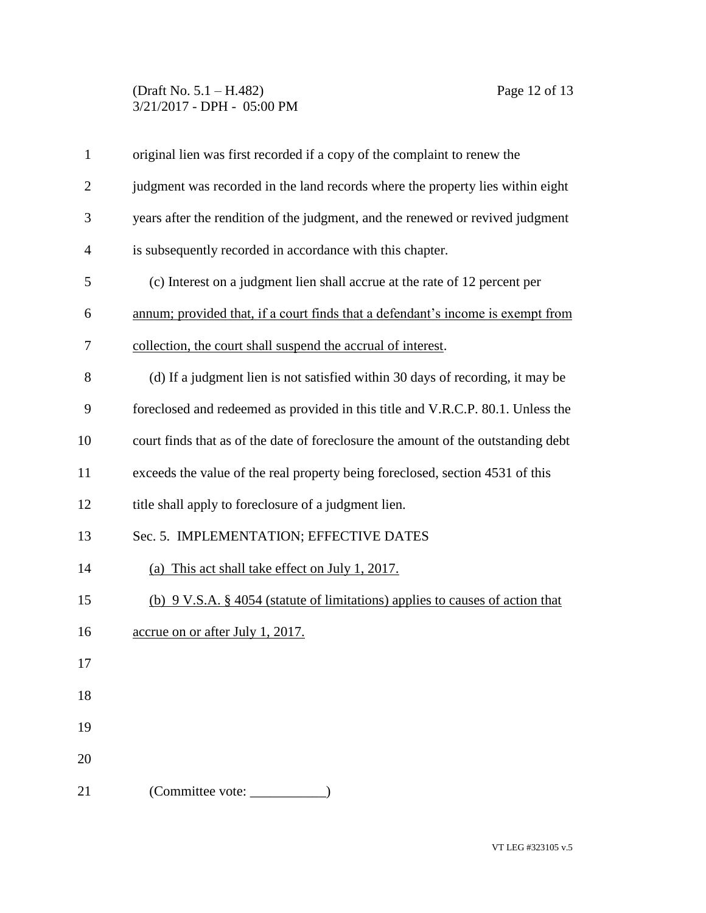## (Draft No. 5.1 – H.482) Page 12 of 13 3/21/2017 - DPH - 05:00 PM

| $\mathbf{1}$   | original lien was first recorded if a copy of the complaint to renew the          |
|----------------|-----------------------------------------------------------------------------------|
| $\overline{2}$ | judgment was recorded in the land records where the property lies within eight    |
| 3              | years after the rendition of the judgment, and the renewed or revived judgment    |
| $\overline{4}$ | is subsequently recorded in accordance with this chapter.                         |
| 5              | (c) Interest on a judgment lien shall accrue at the rate of 12 percent per        |
| 6              | annum; provided that, if a court finds that a defendant's income is exempt from   |
| 7              | collection, the court shall suspend the accrual of interest.                      |
| 8              | (d) If a judgment lien is not satisfied within 30 days of recording, it may be    |
| 9              | foreclosed and redeemed as provided in this title and V.R.C.P. 80.1. Unless the   |
| 10             | court finds that as of the date of foreclosure the amount of the outstanding debt |
| 11             | exceeds the value of the real property being foreclosed, section 4531 of this     |
| 12             | title shall apply to foreclosure of a judgment lien.                              |
| 13             | Sec. 5. IMPLEMENTATION; EFFECTIVE DATES                                           |
| 14             | (a) This act shall take effect on July 1, 2017.                                   |
| 15             | (b) 9 V.S.A. § 4054 (statute of limitations) applies to causes of action that     |
| 16             | accrue on or after July 1, 2017.                                                  |
| 17             |                                                                                   |
| 18             |                                                                                   |
| 19             |                                                                                   |
| 20             |                                                                                   |
| 21             | (Committee vote:                                                                  |